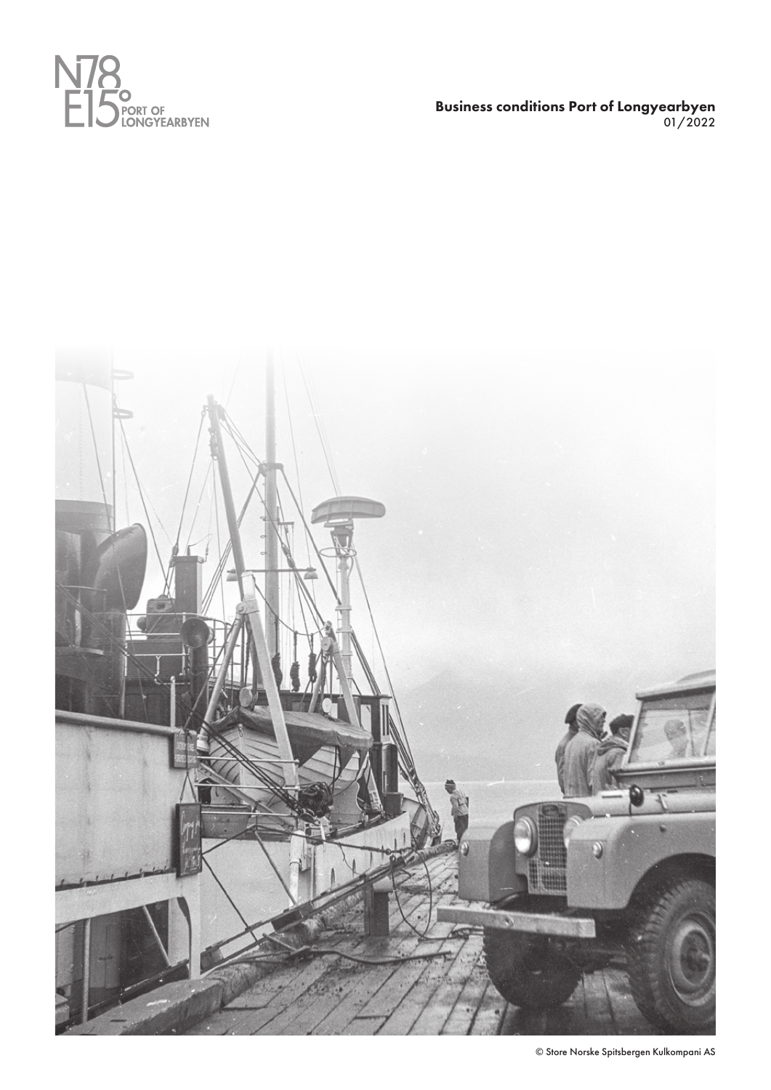

Business conditions Port of Longyearbyen 01/2022



© Store Norske Spitsbergen Kulkompani AS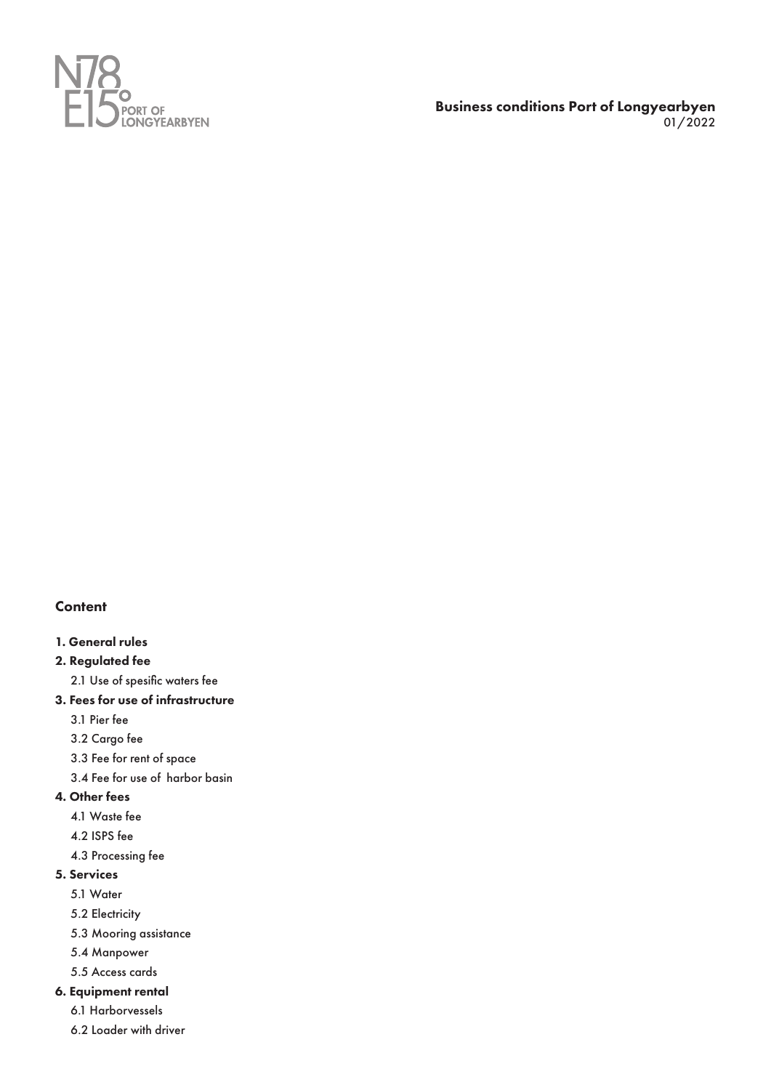

Business conditions Port of Longyearbyen 01/2022

# **Content**

# 1. General rules

# 2. Regulated fee

- 2.1 Use of spesific waters fee
- 3. Fees for use of infrastructure

3.1 Pier fee

- 3.2 Cargo fee
- 3.3 Fee for rent of space
- 3.4 Fee for use of harbor basin

# 4. Other fees

- 4.1 Waste fee
- 4.2 ISPS fee
- 4.3 Processing fee

# 5. Services

- 5.1 Water
- 5.2 Electricity
- 5.3 Mooring assistance
- 5.4 Manpower
- 5.5 Access cards

# 6. Equipment rental

- 6.1 Harborvessels
- 6.2 Loader with driver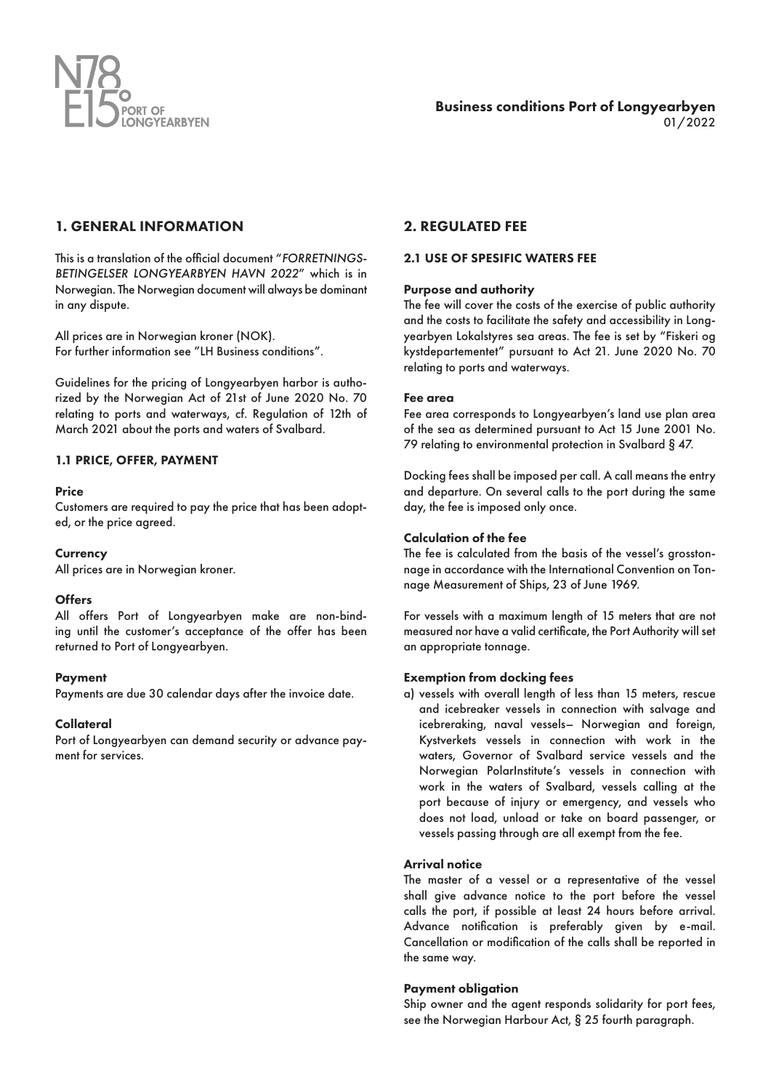

# 1. GENERAL INFORMATION

This is a translation of the official document "*FORRETNINGS-BETINGELSER LONGYEARBYEN HAVN 2022*" which is in Norwegian. The Norwegian document will always be dominant in any dispute.

All prices are in Norwegian kroner (NOK). For further information see "LH Business conditions".

Guidelines for the pricing of Longyearbyen harbor is authorized by the Norwegian Act of 21st of June 2020 No. 70 relating to ports and waterways, cf. Regulation of 12th of March 2021 about the ports and waters of Svalbard.

## 1.1 PRICE, OFFER, PAYMENT

## Price

Customers are required to pay the price that has been adopted, or the price agreed.

**Currency** 

All prices are in Norwegian kroner.

## **Offers**

All offers Port of Longyearbyen make are non-binding until the customer's acceptance of the offer has been returned to Port of Longyearbyen.

## Payment

Payments are due 30 calendar days after the invoice date.

## **Collateral**

Port of Longyearbyen can demand security or advance payment for services.

## 2. REGULATED FEE

### 2.1 USE OF SPESIFIC WATERS FEE

### Purpose and authority

The fee will cover the costs of the exercise of public authority and the costs to facilitate the safety and accessibility in Longyearbyen Lokalstyres sea areas. The fee is set by "Fiskeri og kystdepartementet" pursuant to Act 21. June 2020 No. 70 relating to ports and waterways.

### Fee area

Fee area corresponds to Longyearbyen's land use plan area of the sea as determined pursuant to Act 15 June 2001 No. 79 relating to environmental protection in Svalbard § 47.

Docking fees shall be imposed per call. A call means the entry and departure. On several calls to the port during the same day, the fee is imposed only once.

## Calculation of the fee

The fee is calculated from the basis of the vessel's grosstonnage in accordance with the International Convention on Tonnage Measurement of Ships, 23 of June 1969.

For vessels with a maximum length of 15 meters that are not measured nor have a valid certificate, the Port Authority will set an appropriate tonnage.

## Exemption from docking fees

a) vessels with overall length of less than 15 meters, rescue and icebreaker vessels in connection with salvage and icebreraking, naval vessels– Norwegian and foreign, Kystverkets vessels in connection with work in the waters, Governor of Svalbard service vessels and the Norwegian PolarInstitute's vessels in connection with work in the waters of Svalbard, vessels calling at the port because of injury or emergency, and vessels who does not load, unload or take on board passenger, or vessels passing through are all exempt from the fee.

## Arrival notice

The master of a vessel or a representative of the vessel shall give advance notice to the port before the vessel calls the port, if possible at least 24 hours before arrival. Advance notification is preferably given by e-mail. Cancellation or modification of the calls shall be reported in the same way.

## Payment obligation

Ship owner and the agent responds solidarity for port fees, see the Norwegian Harbour Act, § 25 fourth paragraph.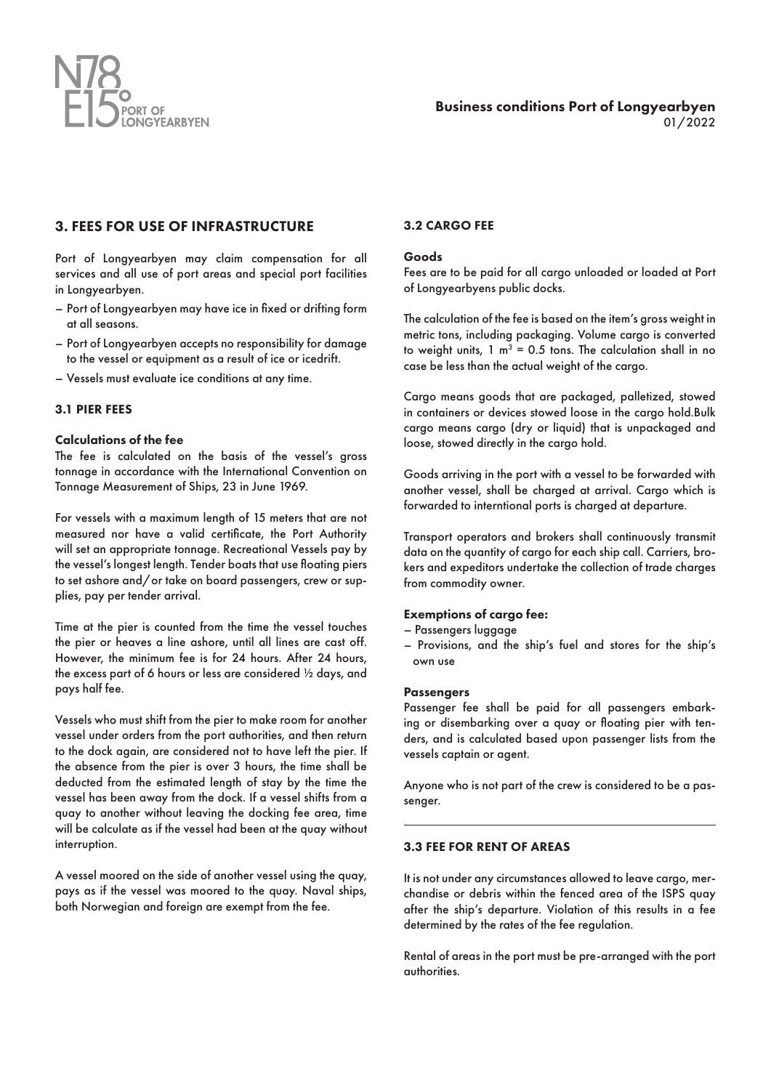

## 3. FEES FOR USE OF INFRASTRUCTURE

Port of Longyearbyen may claim compensation for all services and all use of port areas and special port facilities in Longyearbyen.

- Port of Longyearbyen may have ice in fixed or drifting form at all seasons.
- Port of Longyearbyen accepts no responsibility for damage to the vessel or equipment as a result of ice or icedrift.
- Vessels must evaluate ice conditions at any time.

### 3.1 PIER FEES

### Calculations of the fee

The fee is calculated on the basis of the vessel's gross tonnage in accordance with the International Convention on Tonnage Measurement of Ships, 23 in June 1969.

For vessels with a maximum length of 15 meters that are not measured nor have a valid certificate, the Port Authority will set an appropriate tonnage. Recreational Vessels pay by the vessel's longest length. Tender boats that use floating piers to set ashore and/or take on board passengers, crew or supplies, pay per tender arrival.

Time at the pier is counted from the time the vessel touches the pier or heaves a line ashore, until all lines are cast off. However, the minimum fee is for 24 hours. After 24 hours, the excess part of 6 hours or less are considered ½ days, and pays half fee.

Vessels who must shift from the pier to make room for another vessel under orders from the port authorities, and then return to the dock again, are considered not to have left the pier. If the absence from the pier is over 3 hours, the time shall be deducted from the estimated length of stay by the time the vessel has been away from the dock. If a vessel shifts from a quay to another without leaving the docking fee area, time will be calculate as if the vessel had been at the quay without interruption.

A vessel moored on the side of another vessel using the quay, pays as if the vessel was moored to the quay. Naval ships, both Norwegian and foreign are exempt from the fee.

## 3.2 CARGO FEE

#### Goods

Fees are to be paid for all cargo unloaded or loaded at Port of Longyearbyens public docks.

The calculation of the fee is based on the item's gross weight in metric tons, including packaging. Volume cargo is converted to weight units,  $1 \text{ m}^3 = 0.5$  tons. The calculation shall in no case be less than the actual weight of the cargo.

Cargo means goods that are packaged, palletized, stowed in containers or devices stowed loose in the cargo hold.Bulk cargo means cargo (dry or liquid) that is unpackaged and loose, stowed directly in the cargo hold.

Goods arriving in the port with a vessel to be forwarded with another vessel, shall be charged at arrival. Cargo which is forwarded to interntional ports is charged at departure.

Transport operators and brokers shall continuously transmit data on the quantity of cargo for each ship call. Carriers, brokers and expeditors undertake the collection of trade charges from commodity owner.

### Exemptions of cargo fee:

- Passengers luggage
- Provisions, and the ship's fuel and stores for the ship's own use

#### **Passengers**

Passenger fee shall be paid for all passengers embarking or disembarking over a quay or floating pier with tenders, and is calculated based upon passenger lists from the vessels captain or agent.

Anyone who is not part of the crew is considered to be a passenger.

## 3.3 FEE FOR RENT OF AREAS

It is not under any circumstances allowed to leave cargo, merchandise or debris within the fenced area of the ISPS quay after the ship's departure. Violation of this results in a fee determined by the rates of the fee regulation.

Rental of areas in the port must be pre-arranged with the port authorities.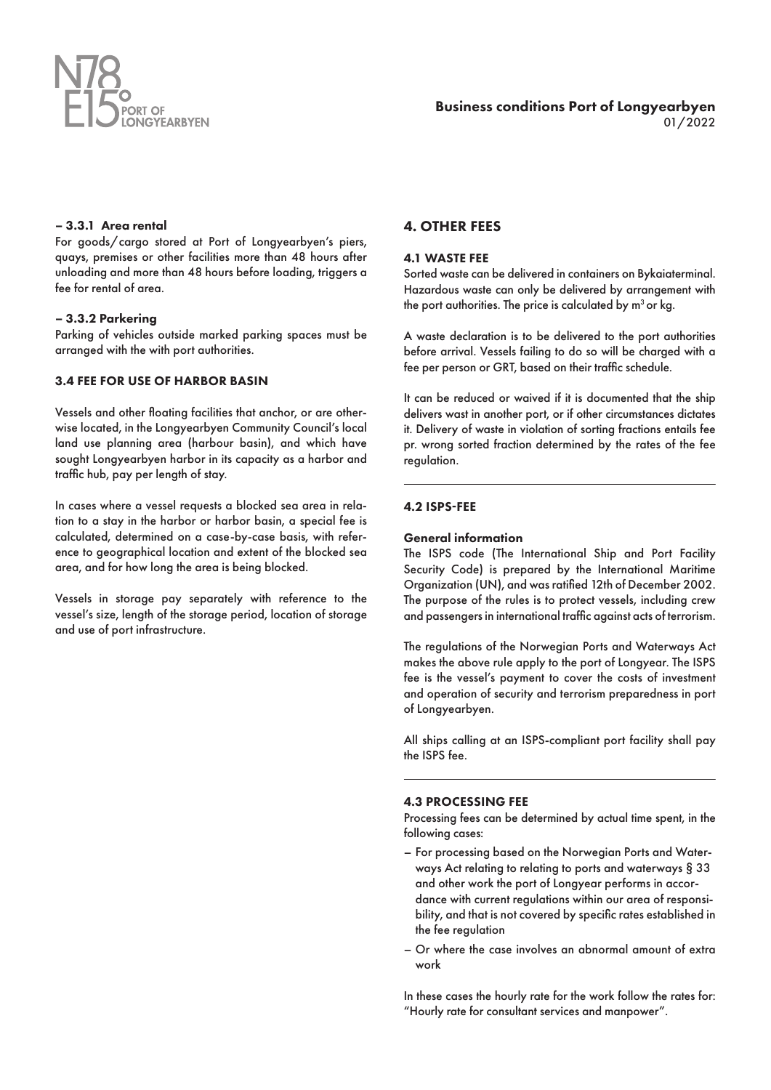

## – 3.3.1 Area rental

For goods/cargo stored at Port of Longyearbyen's piers, quays, premises or other facilities more than 48 hours after unloading and more than 48 hours before loading, triggers a fee for rental of area.

### – 3.3.2 Parkering

Parking of vehicles outside marked parking spaces must be arranged with the with port authorities.

## 3.4 FEE FOR USE OF HARBOR BASIN

Vessels and other floating facilities that anchor, or are otherwise located, in the Longyearbyen Community Council's local land use planning area (harbour basin), and which have sought Longyearbyen harbor in its capacity as a harbor and traffic hub, pay per length of stay.

In cases where a vessel requests a blocked sea area in relation to a stay in the harbor or harbor basin, a special fee is calculated, determined on a case-by-case basis, with reference to geographical location and extent of the blocked sea area, and for how long the area is being blocked.

Vessels in storage pay separately with reference to the vessel's size, length of the storage period, location of storage and use of port infrastructure.

## 4. OTHER FEES

### 4.1 WASTE FEE

Sorted waste can be delivered in containers on Bykaiaterminal. Hazardous waste can only be delivered by arrangement with the port authorities. The price is calculated by  $m^3$  or kg.

A waste declaration is to be delivered to the port authorities before arrival. Vessels failing to do so will be charged with a fee per person or GRT, based on their traffic schedule.

It can be reduced or waived if it is documented that the ship delivers wast in another port, or if other circumstances dictates it. Delivery of waste in violation of sorting fractions entails fee pr. wrong sorted fraction determined by the rates of the fee regulation.

## 4.2 ISPS-FEE

### General information

The ISPS code (The International Ship and Port Facility Security Code) is prepared by the International Maritime Organization (UN), and was ratified 12th of December 2002. The purpose of the rules is to protect vessels, including crew and passengers in international traffic against acts of terrorism.

The regulations of the Norwegian Ports and Waterways Act makes the above rule apply to the port of Longyear. The ISPS fee is the vessel's payment to cover the costs of investment and operation of security and terrorism preparedness in port of Longyearbyen.

All ships calling at an ISPS-compliant port facility shall pay the ISPS fee.

### 4.3 PROCESSING FEE

Processing fees can be determined by actual time spent, in the following cases:

- For processing based on the Norwegian Ports and Waterways Act relating to relating to ports and waterways § 33 and other work the port of Longyear performs in accordance with current regulations within our area of responsibility, and that is not covered by specific rates established in the fee regulation
- Or where the case involves an abnormal amount of extra work

In these cases the hourly rate for the work follow the rates for: "Hourly rate for consultant services and manpower".